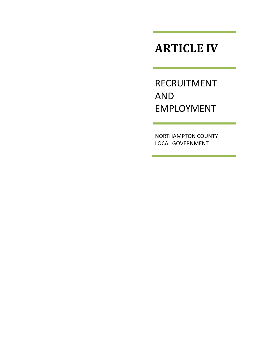# **ARTICLE IV**

RECRUITMENT AND EMPLOYMENT

NORTHAMPTON COUNTY LOCAL GOVERNMENT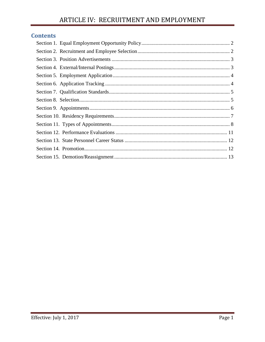## **Contents**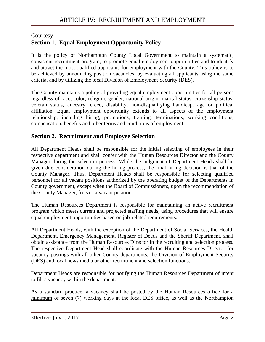## <span id="page-2-0"></span>**Courtesy Section 1. Equal Employment Opportunity Policy**

It is the policy of Northampton County Local Government to maintain a systematic, consistent recruitment program, to promote equal employment opportunities and to identify and attract the most qualified applicants for employment with the County. This policy is to be achieved by announcing position vacancies, by evaluating all applicants using the same criteria, and by utilizing the local Division of Employment Security (DES).

The County maintains a policy of providing equal employment opportunities for all persons regardless of race, color, religion, gender, national origin, marital status, citizenship status, veteran status, ancestry, creed, disability, non-disqualifying handicap, age or political affiliation. Equal employment opportunity extends to all aspects of the employment relationship, including hiring, promotions, training, terminations, working conditions, compensation, benefits and other terms and conditions of employment.

## <span id="page-2-1"></span>**Section 2. Recruitment and Employee Selection**

All Department Heads shall be responsible for the initial selecting of employees in their respective department and shall confer with the Human Resources Director and the County Manager during the selection process. While the judgment of Department Heads shall be given due consideration during the hiring process, the final hiring decision is that of the County Manager. Thus, Department Heads shall be responsible for selecting qualified personnel for all vacant positions authorized by the operating budget of the Departments in County government, except when the Board of Commissioners, upon the recommendation of the County Manager, freezes a vacant position.

The Human Resources Department is responsible for maintaining an active recruitment program which meets current and projected staffing needs, using procedures that will ensure equal employment opportunities based on job-related requirements.

All Department Heads, with the exception of the Department of Social Services, the Health Department, Emergency Management, Register of Deeds and the Sheriff Department, shall obtain assistance from the Human Resources Director in the recruiting and selection process. The respective Department Head shall coordinate with the Human Resources Director for vacancy postings with all other County departments, the Division of Employment Security (DES) and local news media or other recruitment and selection functions.

Department Heads are responsible for notifying the Human Resources Department of intent to fill a vacancy within the department.

As a standard practice, a vacancy shall be posted by the Human Resources office for a minimum of seven (7) working days at the local DES office, as well as the Northampton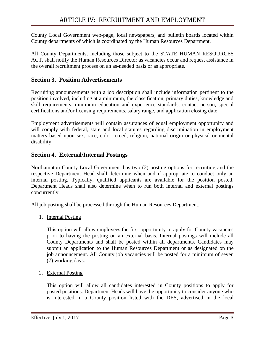County Local Government web-page, local newspapers, and bulletin boards located within County departments of which is coordinated by the Human Resources Department.

All County Departments, including those subject to the STATE HUMAN RESOURCES ACT, shall notify the Human Resources Director as vacancies occur and request assistance in the overall recruitment process on an as-needed basis or as appropriate.

#### <span id="page-3-0"></span>**Section 3. Position Advertisements**

Recruiting announcements with a job description shall include information pertinent to the position involved, including at a minimum, the classification, primary duties, knowledge and skill requirements, minimum education and experience standards, contact person, special certifications and/or licensing requirements, salary range, and application closing date.

Employment advertisements will contain assurances of equal employment opportunity and will comply with federal, state and local statutes regarding discrimination in employment matters based upon sex, race, color, creed, religion, national origin or physical or mental disability.

## <span id="page-3-1"></span>**Section 4. External/Internal Postings**

Northampton County Local Government has two (2) posting options for recruiting and the respective Department Head shall determine when and if appropriate to conduct only an internal posting. Typically, qualified applicants are available for the position posted. Department Heads shall also determine when to run both internal and external postings concurrently.

All job posting shall be processed through the Human Resources Department.

1. Internal Posting

This option will allow employees the first opportunity to apply for County vacancies prior to having the posting on an external basis. Internal postings will include all County Departments and shall be posted within all departments. Candidates may submit an application to the Human Resources Department or as designated on the job announcement. All County job vacancies will be posted for a minimum of seven (7) working days.

2. External Posting

This option will allow all candidates interested in County positions to apply for posted positions. Department Heads will have the opportunity to consider anyone who is interested in a County position listed with the DES, advertised in the local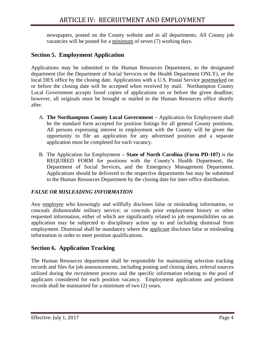newspapers, posted on the County website and in all departments. All County job vacancies will be posted for a minimum of seven (7) working days.

## <span id="page-4-0"></span>**Section 5. Employment Application**

Applications may be submitted to the Human Resources Department, to the designated department (for the Department of Social Services or the Health Department ONLY), or the local DES office by the closing date. Applications with a U.S. Postal Service postmarked on or before the closing date will be accepted when received by mail. Northampton County Local Government accepts faxed copies of applications on or before the given deadline; however, all originals must be brought or mailed to the Human Resources office shortly after.

- A. **The Northampton County Local Government –** Application for Employment shall be the standard form accepted for position listings for all general County positions. All persons expressing interest in employment with the County will be given the opportunity to file an application for any advertised position and a separate application must be completed for each vacancy.
- B. The Application for Employment **– State of North Carolina (Form PD-107)** is the REQUIRED FORM for positions with the County's Health Department, the Department of Social Services, and the Emergency Management Department. Applications should be delivered to the respective departments but may be submitted to the Human Resources Department by the closing date for inter-office distribution.

## *FALSE OR MISLEADING INFORMATION*

Any employee who knowingly and willfully discloses false or misleading information, or conceals dishonorable military service; or conceals prior employment history or other requested information, either of which are significantly related to job responsibilities on an application may be subjected to disciplinary action up to and including dismissal from employment. Dismissal shall be mandatory where the applicant discloses false or misleading information in order to meet position qualifications.

## <span id="page-4-1"></span>**Section 6. Application Tracking**

The Human Resources department shall be responsible for maintaining selection tracking records and files for job announcements, including posting and closing dates, referral sources utilized during the recruitment process and the specific information relating to the pool of applicants considered for each position vacancy. Employment applications and pertinent records shall be maintained for a minimum of two (2) years.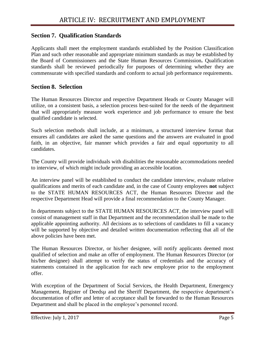## <span id="page-5-0"></span>**Section 7. Qualification Standards**

Applicants shall meet the employment standards established by the Position Classification Plan and such other reasonable and appropriate minimum standards as may be established by the Board of Commissioners and the State Human Resources Commission**.** Qualification standards shall be reviewed periodically for purposes of determining whether they are commensurate with specified standards and conform to actual job performance requirements.

#### <span id="page-5-1"></span>**Section 8. Selection**

The Human Resources Director and respective Department Heads or County Manager will utilize, on a consistent basis, a selection process best-suited for the needs of the department that will appropriately measure work experience and job performance to ensure the best qualified candidate is selected.

Such selection methods shall include, at a minimum, a structured interview format that ensures all candidates are asked the same questions and the answers are evaluated in good faith, in an objective, fair manner which provides a fair and equal opportunity to all candidates.

The County will provide individuals with disabilities the reasonable accommodations needed to interview, of which might include providing an accessible location.

An interview panel will be established to conduct the candidate interview, evaluate relative qualifications and merits of each candidate and, in the case of County employees **not** subject to the STATE HUMAN RESOURCES ACT, the Human Resources Director and the respective Department Head will provide a final recommendation to the County Manager.

In departments subject to the STATE HUMAN RESOURCES ACT, the interview panel will consist of management staff in that Department and the recommendation shall be made to the applicable appointing authority. All decisions as to selections of candidates to fill a vacancy will be supported by objective and detailed written documentation reflecting that all of the above policies have been met.

The Human Resources Director, or his/her designee, will notify applicants deemed most qualified of selection and make an offer of employment. The Human Resources Director (or his/her designee) shall attempt to verify the status of credentials and the accuracy of statements contained in the application for each new employee prior to the employment offer.

With exception of the Department of Social Services, the Health Department, Emergency Management, Register of Deedsµ and the Sheriff Department, the respective department's documentation of offer and letter of acceptance shall be forwarded to the Human Resources Department and shall be placed in the employee's personnel record.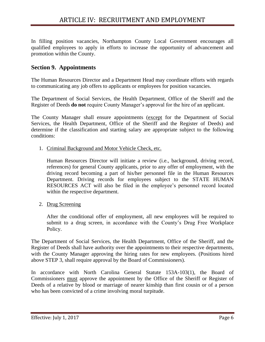In filling position vacancies, Northampton County Local Government encourages all qualified employees to apply in efforts to increase the opportunity of advancement and promotion within the County.

## <span id="page-6-0"></span>**Section 9. Appointments**

The Human Resources Director and a Department Head may coordinate efforts with regards to communicating any job offers to applicants or employees for position vacancies.

The Department of Social Services, the Health Department, Office of the Sheriff and the Register of Deeds **do not** require County Manager's approval for the hire of an applicant.

The County Manager shall ensure appointments (except for the Department of Social Services, the Health Department, Office of the Sheriff and the Register of Deeds) and determine if the classification and starting salary are appropriate subject to the following conditions:

1. Criminal Background and Motor Vehicle Check, etc.

Human Resources Director will initiate a review (i.e., background, driving record, references) for general County applicants, prior to any offer of employment, with the driving record becoming a part of his/her personnel file in the Human Resources Department. Driving records for employees subject to the STATE HUMAN RESOURCES ACT will also be filed in the employee's personnel record located within the respective department.

2. Drug Screening

After the conditional offer of employment, all new employees will be required to submit to a drug screen, in accordance with the County's Drug Free Workplace Policy.

The Department of Social Services, the Health Department, Office of the Sheriff, and the Register of Deeds shall have authority over the appointments to their respective departments, with the County Manager approving the hiring rates for new employees. (Positions hired above STEP 3, shall require approval by the Board of Commissioners).

In accordance with North Carolina General Statute 153A-103(1), the Board of Commissioners must approve the appointment by the Office of the Sheriff or Register of Deeds of a relative by blood or marriage of nearer kinship than first cousin or of a person who has been convicted of a crime involving moral turpitude.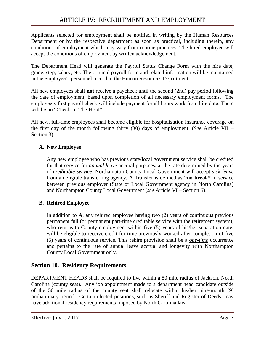Applicants selected for employment shall be notified in writing by the Human Resources Department or by the respective department as soon as practical, including therein, any conditions of employment which may vary from routine practices. The hired employee will accept the conditions of employment by written acknowledgement.

The Department Head will generate the Payroll Status Change Form with the hire date, grade, step, salary, etc. The original payroll form and related information will be maintained in the employee's personnel record in the Human Resources Department.

All new employees shall **not** receive a paycheck until the second (2nd) pay period following the date of employment, based upon completion of all necessary employment forms. The employee's first payroll check will include payment for all hours work from hire date. There will be no "Check-In-The-Hold".

All new, full-time employees shall become eligible for hospitalization insurance coverage on the first day of the month following thirty (30) days of employment. (*See* Article VII – Section 3)

## **A. New Employee**

Any new employee who has previous state/local government service shall be credited for that service for *annual leave* accrual purposes, at the rate determined by the years of *creditable service*. Northampton County Local Government will accept *sick leave* from an eligible transferring agency. A Transfer is defined as **"no break"** in service between previous employer (State or Local Government agency in North Carolina) and Northampton County Local Government (*see* Article VI – Section 6).

## **B. Rehired Employee**

In addition to **A**, any rehired employee having two (2) years of continuous previous permanent full (or permanent part-time creditable service with the retirement system), who returns to County employment within five (5) years of his/her separation date, will be eligible to receive credit for time previously worked after completion of five (5) years of continuous service. This rehire provision shall be a *one-time* occurrence and pertains to the rate of annual leave accrual and longevity with Northampton County Local Government only.

## <span id="page-7-0"></span>**Section 10. Residency Requirements**

DEPARTMENT HEADS shall be required to live within a 50 mile radius of Jackson, North Carolina (county seat). Any job appointment made to a department head candidate outside of the 50 mile radius of the county seat shall relocate within his/her nine-month (9) probationary period. Certain elected positions, such as Sheriff and Register of Deeds, may have additional residency requirements imposed by North Carolina law.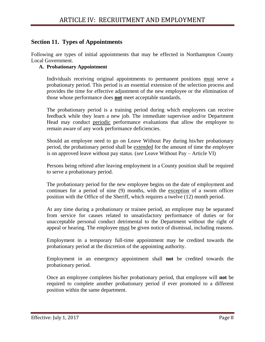## <span id="page-8-0"></span>**Section 11. Types of Appointments**

Following are types of initial appointments that may be effected in Northampton County Local Government.

#### **A. Probationary Appointment**

Individuals receiving original appointments to permanent positions must serve a probationary period. This period is an essential extension of the selection process and provides the time for effective adjustment of the new employee or the elimination of those whose performance does **not** meet acceptable standards.

The probationary period is a training period during which employees can receive feedback while they learn a new job. The immediate supervisor and/or Department Head may conduct periodic performance evaluations that allow the employee to remain aware of any work performance deficiencies.

Should an employee need to go on Leave Without Pay during his/her probationary period, the probationary period shall be extended for the amount of time the employee is on approved leave without pay status. (*see* Leave Without Pay – Article VI)

Persons being rehired after leaving employment in a County position shall be required to serve a probationary period.

The probationary period for the new employee begins on the date of employment and continues for a period of nine (9) months, with the exception of a sworn officer position with the Office of the Sheriff, which requires a twelve (12) month period.

At any time during a probationary or trainee period, an employee may be separated from service for causes related to unsatisfactory performance of duties or for unacceptable personal conduct detrimental to the Department without the right of appeal or hearing. The employee must be given notice of dismissal, including reasons.

Employment in a temporary full-time appointment may be credited towards the probationary period at the discretion of the appointing authority.

Employment in an emergency appointment shall **not** be credited towards the probationary period.

Once an employee completes his/her probationary period, that employee will **not** be required to complete another probationary period if ever promoted to a different position within the same department.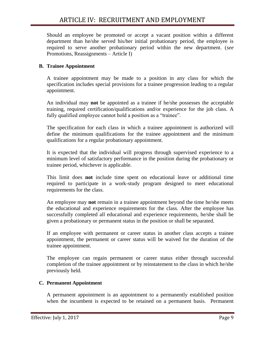Should an employee be promoted or accept a vacant position within a different department than he/she served his/her initial probationary period, the employee is required to serve another probationary period within the new department. (*see*  Promotions, Reassignments – Article I)

#### **B. Trainee Appointment**

A trainee appointment may be made to a position in any class for which the specification includes special provisions for a trainee progression leading to a regular appointment.

An individual may **not** be appointed as a trainee if he/she possesses the acceptable training, required certification/qualifications and/or experience for the job class. A fully qualified employee cannot hold a position as a "trainee".

The specification for each class in which a trainee appointment is authorized will define the minimum qualifications for the trainee appointment and the minimum qualifications for a regular probationary appointment.

It is expected that the individual will progress through supervised experience to a minimum level of satisfactory performance in the position during the probationary or trainee period, whichever is applicable.

This limit does **not** include time spent on educational leave or additional time required to participate in a work-study program designed to meet educational requirements for the class.

An employee may **not** remain in a trainee appointment beyond the time he/she meets the educational and experience requirements for the class. After the employee has successfully completed all educational and experience requirements, he/she shall be given a probationary or permanent status in the position or shall be separated.

If an employee with permanent or career status in another class accepts a trainee appointment, the permanent or career status will be waived for the duration of the trainee appointment.

The employee can regain permanent or career status either through successful completion of the trainee appointment or by reinstatement to the class in which he/she previously held.

#### **C. Permanent Appointment**

A permanent appointment is an appointment to a permanently established position when the incumbent is expected to be retained on a permanent basis. Permanent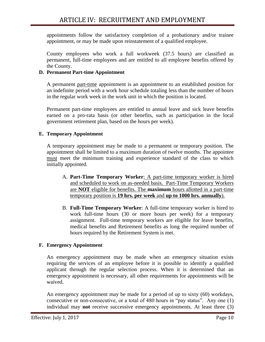appointments follow the satisfactory completion of a probationary and/or trainee appointment, or may be made upon reinstatement of a qualified employee.

County employees who work a full workweek (37.5 hours) are classified as permanent, full-time employees and are entitled to all employee benefits offered by the County.

#### **D. Permanent Part-time Appointment**

A permanent part-time appointment is an appointment to an established position for an indefinite period with a work hour schedule totaling less than the number of hours in the regular work week in the work unit in which the position is located.

Permanent part-time employees are entitled to annual leave and sick leave benefits earned on a pro-rata basis (or other benefits, such as participation in the local government retirement plan, based on the hours per week).

#### **E. Temporary Appointment**

A temporary appointment may be made to a permanent or temporary position. The appointment shall be limited to a maximum duration of twelve months. The appointee must meet the minimum training and experience standard of the class to which initially appointed.

- A. **Part-Time Temporary Worker**: A part-time temporary worker is hired and scheduled to work on as-needed basis. Part-Time Temporary Workers are **NOT** eligible for benefits. The **maximum** hours allotted in a part-time temporary position is **19 hrs. per week** and **up to 1000 hrs. annually**).
- B. **Full-Time Temporary Worker**: A full-time temporary worker is hired to work full-time hours (30 or more hours per week) for a temporary assignment. Full-time temporary workers are eligible for leave benefits, medical benefits and Retirement benefits as long the required number of hours required by the Retirement System is met.

#### **F. Emergency Appointment**

An emergency appointment may be made when an emergency situation exists requiring the services of an employee before it is possible to identify a qualified applicant through the regular selection process. When it is determined that an emergency appointment is necessary, all other requirements for appointments will be waived.

An emergency appointment may be made for a period of up to sixty (60) workdays, consecutive or non-consecutive, or a total of 480 hours in "pay status". Any one (1) individual may **not** receive successive emergency appointments. At least three (3)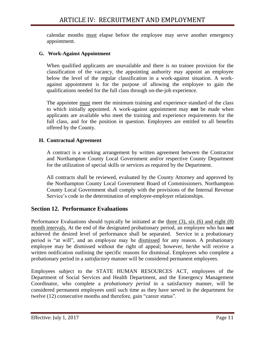calendar months must elapse before the employee may serve another emergency appointment.

#### **G. Work-Against Appointment**

When qualified applicants are unavailable and there is no trainee provision for the classification of the vacancy, the appointing authority may appoint an employee below the level of the regular classification in a work-against situation. A workagainst appointment is for the purpose of allowing the employee to gain the qualifications needed for the full class through on-the-job experience.

The appointee must meet the minimum training and experience standard of the class to which initially appointed. A work-against appointment may **not** be made when applicants are available who meet the training and experience requirements for the full class, and for the position in question. Employees are entitled to all benefits offered by the County.

#### **H. Contractual Agreement**

A contract is a working arrangement by written agreement between the Contractor and Northampton County Local Government and/or respective County Department for the utilization of special skills or services as required by the Department.

All contracts shall be reviewed, evaluated by the County Attorney and approved by the Northampton County Local Government Board of Commissioners. Northampton County Local Government shall comply with the provisions of the Internal Revenue Service's code in the determination of employee-employer relationships.

#### <span id="page-11-0"></span>**Section 12. Performance Evaluations**

Performance Evaluations should typically be initiated at the three (3), six (6) and eight (8) month intervals. At the end of the designated probationary period, an employee who has **not** achieved the desired level of performance shall be separated. Service in a probationary period is "at will", and an employee may be dismissed for any reason. A probationary employee may be dismissed without the right of appeal; however, he/she will receive a written notification outlining the specific reasons for dismissal. Employees who complete a probationary period in a *satisfactory* manner will be considered permanent employees.

Employees subject to the STATE HUMAN RESOURCES ACT, employees of the Department of Social Services and Health Department, and the Emergency Management Coordinator, who complete a *probationary period* in a satisfactory manner, will be considered permanent employees until such time as they have served in the department for twelve (12) consecutive months and therefore, gain "career status".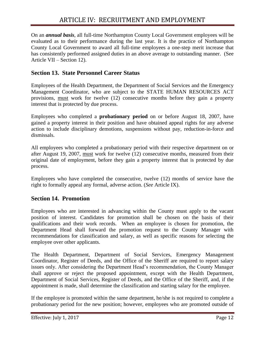On an *annual basis*, all full-time Northampton County Local Government employees will be evaluated as to their performance during the last year. It is the practice of Northampton County Local Government to award all full-time employees a one-step merit increase that has consistently performed assigned duties in an above average to outstanding manner. (See Article VII – Section 12).

## <span id="page-12-0"></span>**Section 13. State Personnel Career Status**

Employees of the Health Department, the Department of Social Services and the Emergency Management Coordinator, who are subject to the STATE HUMAN RESOURCES ACT provisions, must work for twelve (12) consecutive months before they gain a property interest that is protected by due process.

Employees who completed a **probationary period** on or before August 18, 2007, have gained a property interest in their position and have obtained appeal rights for any adverse action to include disciplinary demotions, suspensions without pay, reduction-in-force and dismissals.

All employees who completed a probationary period with their respective department on or after August 19, 2007, must work for twelve (12) consecutive months, measured from their original date of employment, before they gain a property interest that is protected by due process.

Employees who have completed the consecutive, twelve (12) months of service have the right to formally appeal any formal, adverse action. (*See* Article IX).

## <span id="page-12-1"></span>**Section 14. Promotion**

Employees who are interested in advancing within the County must apply to the vacant position of interest. Candidates for promotion shall be chosen on the basis of their qualifications and their work records. When an employee is chosen for promotion, the Department Head shall forward the promotion request to the County Manager with recommendations for classification and salary, as well as specific reasons for selecting the employee over other applicants.

The Health Department, Department of Social Services, Emergency Management Coordinator, Register of Deeds, and the Office of the Sheriff are required to report salary issues only. After considering the Department Head's recommendation, the County Manager shall approve or reject the proposed appointment, except with the Health Department, Department of Social Services, Register of Deeds, and the Office of the Sheriff, and, if the appointment is made, shall determine the classification and starting salary for the employee.

If the employee is promoted within the same department, he/she is not required to complete a probationary period for the new position; however, employees who are promoted outside of